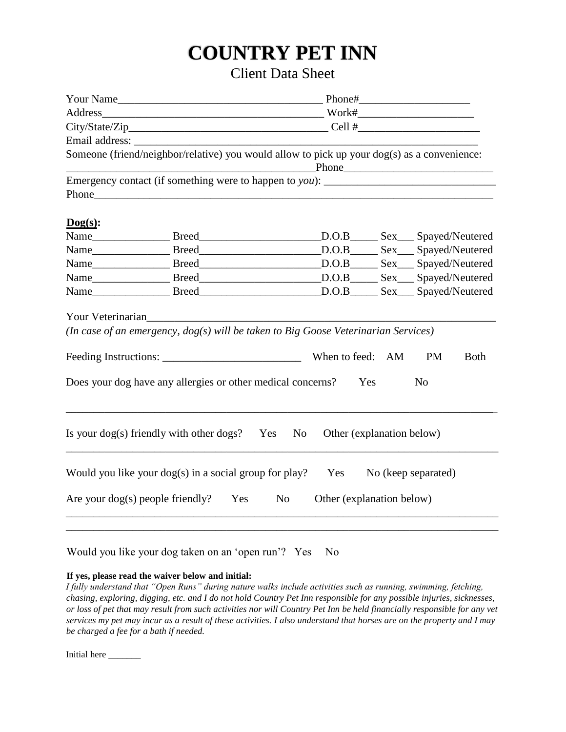## **COUNTRY PET INN**

## Client Data Sheet

| Address Work#                                                                                            |  |  |                |                           |  |                     |             |
|----------------------------------------------------------------------------------------------------------|--|--|----------------|---------------------------|--|---------------------|-------------|
|                                                                                                          |  |  |                |                           |  |                     |             |
|                                                                                                          |  |  |                |                           |  |                     |             |
| Someone (friend/neighbor/relative) you would allow to pick up your dog(s) as a convenience:              |  |  |                | Phone                     |  |                     |             |
| Emergency contact (if something were to happen to you): _________________________                        |  |  |                |                           |  |                     |             |
| $\log(s)$ :                                                                                              |  |  |                |                           |  |                     |             |
|                                                                                                          |  |  |                |                           |  |                     |             |
|                                                                                                          |  |  |                |                           |  |                     |             |
| Name ______________________Breed __________________________________D.O.B ________Sex ____Spayed/Neutered |  |  |                |                           |  |                     |             |
| Name ______________________Breed __________________________________D.O.B ________Sex ____Spayed/Neutered |  |  |                |                           |  |                     |             |
|                                                                                                          |  |  |                |                           |  |                     |             |
| Your Veterinarian<br>(In case of an emergency, dog(s) will be taken to Big Goose Veterinarian Services)  |  |  |                |                           |  |                     |             |
|                                                                                                          |  |  |                | When to feed: AM          |  | <b>PM</b>           | <b>Both</b> |
| Does your dog have any allergies or other medical concerns?<br>Yes<br>N <sub>0</sub>                     |  |  |                |                           |  |                     |             |
| Is your $\log(s)$ friendly with other $\log s$ ? Yes                                                     |  |  | N <sub>o</sub> | Other (explanation below) |  |                     |             |
| Would you like your $\log(s)$ in a social group for play?                                                |  |  |                | Yes                       |  | No (keep separated) |             |
| Are your $\log(s)$ people friendly? Yes<br>N <sub>o</sub><br>Other (explanation below)                   |  |  |                |                           |  |                     |             |
|                                                                                                          |  |  |                |                           |  |                     |             |

Would you like your dog taken on an 'open run'? Yes No

## **If yes, please read the waiver below and initial:**

*I fully understand that "Open Runs" during nature walks include activities such as running, swimming, fetching, chasing, exploring, digging, etc. and I do not hold Country Pet Inn responsible for any possible injuries, sicknesses, or loss of pet that may result from such activities nor will Country Pet Inn be held financially responsible for any vet services my pet may incur as a result of these activities. I also understand that horses are on the property and I may be charged a fee for a bath if needed.*

Initial here